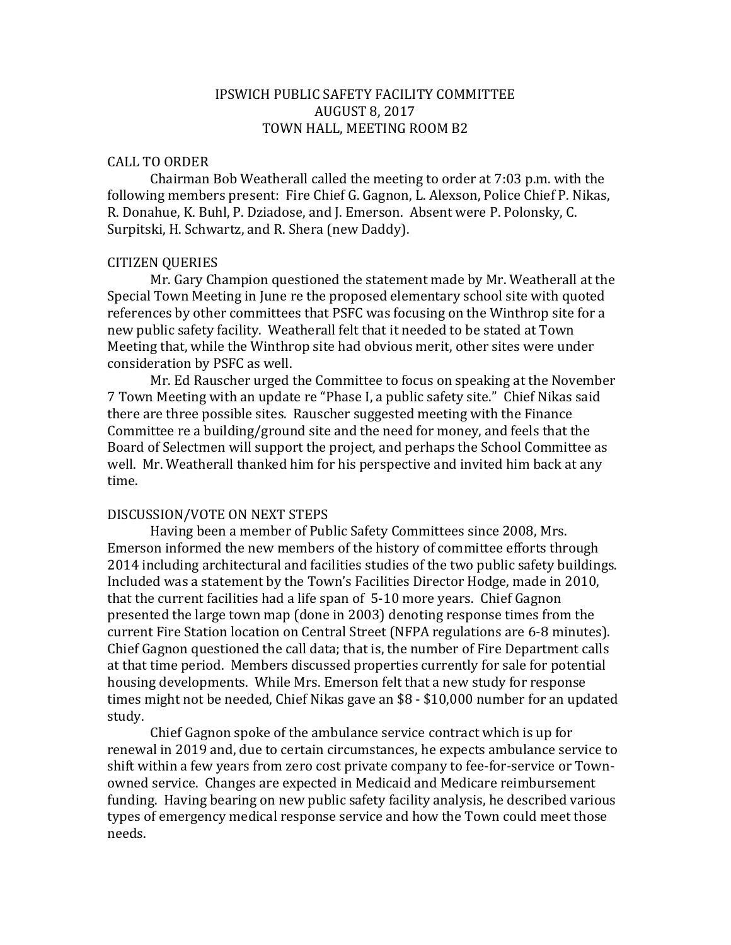# IPSWICH PUBLIC SAFETY FACILITY COMMITTEE AUGUST 8, 2017 TOWN HALL, MEETING ROOM B2

#### CALL TO ORDER

Chairman Bob Weatherall called the meeting to order at 7:03 p.m. with the following members present: Fire Chief G. Gagnon, L. Alexson, Police Chief P. Nikas, R. Donahue, K. Buhl, P. Dziadose, and J. Emerson. Absent were P. Polonsky, C. Surpitski, H. Schwartz, and R. Shera (new Daddy).

## CITIZEN QUERIES

Mr. Gary Champion questioned the statement made by Mr. Weatherall at the Special Town Meeting in June re the proposed elementary school site with quoted references by other committees that PSFC was focusing on the Winthrop site for a new public safety facility. Weatherall felt that it needed to be stated at Town Meeting that, while the Winthrop site had obvious merit, other sites were under consideration by PSFC as well.

Mr. Ed Rauscher urged the Committee to focus on speaking at the November 7 Town Meeting with an update re "Phase I, a public safety site." Chief Nikas said there are three possible sites. Rauscher suggested meeting with the Finance Committee re a building/ground site and the need for money, and feels that the Board of Selectmen will support the project, and perhaps the School Committee as well. Mr. Weatherall thanked him for his perspective and invited him back at any time.

#### DISCUSSION/VOTE ON NEXT STEPS

Having been a member of Public Safety Committees since 2008, Mrs. Emerson informed the new members of the history of committee efforts through 2014 including architectural and facilities studies of the two public safety buildings. Included was a statement by the Town's Facilities Director Hodge, made in 2010, that the current facilities had a life span of 5-10 more years. Chief Gagnon presented the large town map (done in 2003) denoting response times from the current Fire Station location on Central Street (NFPA regulations are 6-8 minutes). Chief Gagnon questioned the call data; that is, the number of Fire Department calls at that time period. Members discussed properties currently for sale for potential housing developments. While Mrs. Emerson felt that a new study for response times might not be needed, Chief Nikas gave an \$8 - \$10,000 number for an updated study.

Chief Gagnon spoke of the ambulance service contract which is up for renewal in 2019 and, due to certain circumstances, he expects ambulance service to shift within a few years from zero cost private company to fee-for-service or Townowned service. Changes are expected in Medicaid and Medicare reimbursement funding. Having bearing on new public safety facility analysis, he described various types of emergency medical response service and how the Town could meet those needs.